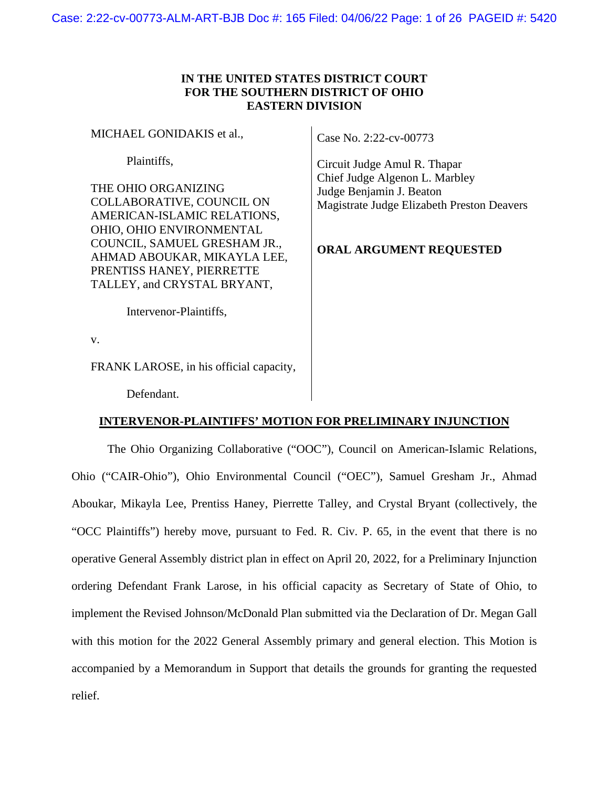## **IN THE UNITED STATES DISTRICT COURT FOR THE SOUTHERN DISTRICT OF OHIO EASTERN DIVISION**

| MICHAEL GONIDAKIS et al.,                                                                                                                                                                                                                             | Case No. 2:22-cv-00773                                                                                                                                              |
|-------------------------------------------------------------------------------------------------------------------------------------------------------------------------------------------------------------------------------------------------------|---------------------------------------------------------------------------------------------------------------------------------------------------------------------|
| Plaintiffs.<br>THE OHIO ORGANIZING<br>COLLABORATIVE, COUNCIL ON<br>AMERICAN-ISLAMIC RELATIONS,<br>OHIO, OHIO ENVIRONMENTAL<br>COUNCIL, SAMUEL GRESHAM JR.,<br>AHMAD ABOUKAR, MIKAYLA LEE,<br>PRENTISS HANEY, PIERRETTE<br>TALLEY, and CRYSTAL BRYANT, | Circuit Judge Amul R. Thapar<br>Chief Judge Algenon L. Marbley<br>Judge Benjamin J. Beaton<br>Magistrate Judge Elizabeth Preston Deavers<br>ORAL ARGUMENT REQUESTED |
| Intervenor-Plaintiffs,                                                                                                                                                                                                                                |                                                                                                                                                                     |

v.

FRANK LAROSE, in his official capacity,

Defendant.

## **INTERVENOR-PLAINTIFFS' MOTION FOR PRELIMINARY INJUNCTION**

The Ohio Organizing Collaborative ("OOC"), Council on American-Islamic Relations, Ohio ("CAIR-Ohio"), Ohio Environmental Council ("OEC"), Samuel Gresham Jr., Ahmad Aboukar, Mikayla Lee, Prentiss Haney, Pierrette Talley, and Crystal Bryant (collectively, the "OCC Plaintiffs") hereby move, pursuant to Fed. R. Civ. P. 65, in the event that there is no operative General Assembly district plan in effect on April 20, 2022, for a Preliminary Injunction ordering Defendant Frank Larose, in his official capacity as Secretary of State of Ohio, to implement the Revised Johnson/McDonald Plan submitted via the Declaration of Dr. Megan Gall with this motion for the 2022 General Assembly primary and general election. This Motion is accompanied by a Memorandum in Support that details the grounds for granting the requested relief.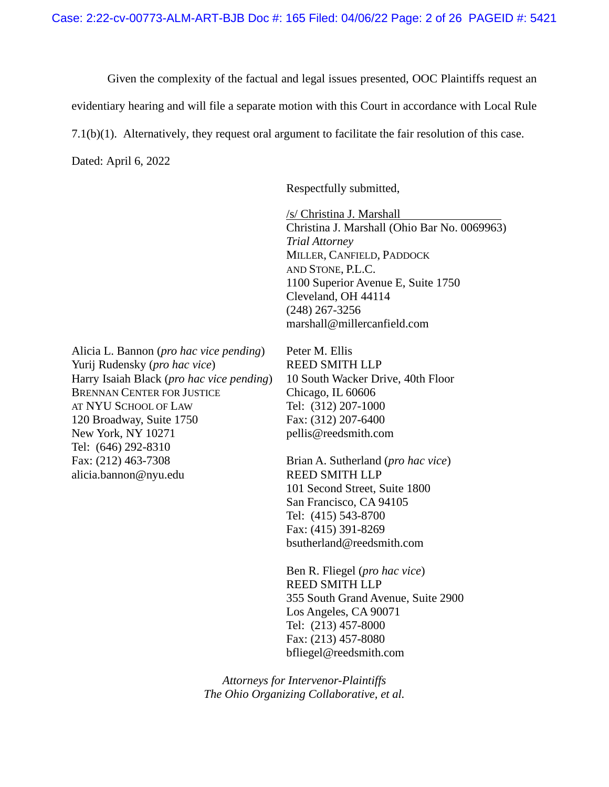Given the complexity of the factual and legal issues presented, OOC Plaintiffs request an

evidentiary hearing and will file a separate motion with this Court in accordance with Local Rule

7.1(b)(1). Alternatively, they request oral argument to facilitate the fair resolution of this case.

Dated: April 6, 2022

Respectfully submitted,

/s/ Christina J. Marshall Christina J. Marshall (Ohio Bar No. 0069963) *Trial Attorney*  MILLER, CANFIELD, PADDOCK AND STONE, P.L.C. 1100 Superior Avenue E, Suite 1750 Cleveland, OH 44114 (248) 267-3256 marshall@millercanfield.com

Alicia L. Bannon (*pro hac vice pending*) Peter M. Ellis Yurij Rudensky (*pro hac vice*) REED SMITH LLP Harry Isaiah Black (*pro hac vice pending*) 10 South Wacker Drive, 40th Floor BRENNAN CENTER FOR JUSTICE Chicago, IL 60606 AT NYU SCHOOL OF LAW Tel: (312) 207-1000 120 Broadway, Suite 1750 Fax: (312) 207-6400 New York, NY 10271 pellis@reedsmith.com Tel: (646) 292-8310 Fax: (212) 463-7308 Brian A. Sutherland (*pro hac vice*) alicia.bannon@nyu.edu REED SMITH LLP

101 Second Street, Suite 1800 San Francisco, CA 94105 Tel: (415) 543-8700 Fax: (415) 391-8269 bsutherland@reedsmith.com

Ben R. Fliegel (*pro hac vice*) REED SMITH LLP 355 South Grand Avenue, Suite 2900 Los Angeles, CA 90071 Tel: (213) 457-8000 Fax: (213) 457-8080 bfliegel@reedsmith.com

*Attorneys for Intervenor-Plaintiffs The Ohio Organizing Collaborative, et al.*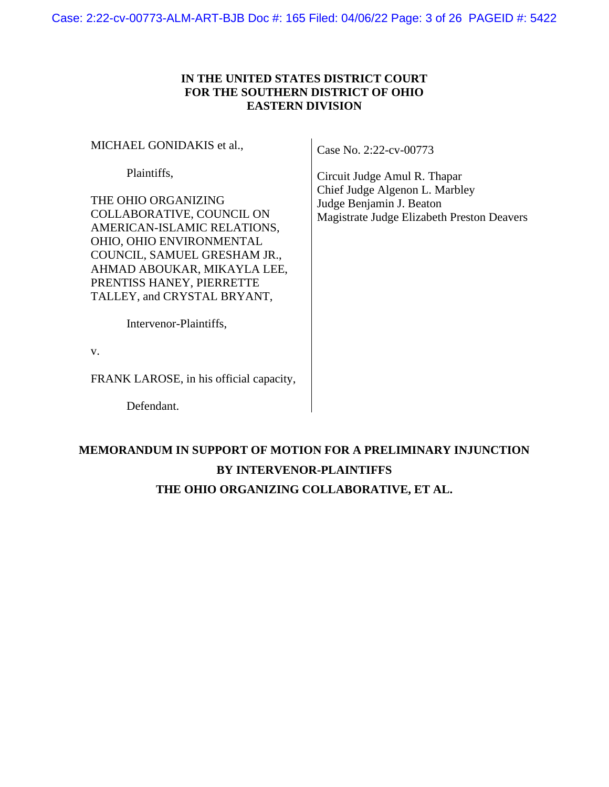## **IN THE UNITED STATES DISTRICT COURT FOR THE SOUTHERN DISTRICT OF OHIO EASTERN DIVISION**

MICHAEL GONIDAKIS et al.,

Plaintiffs,

THE OHIO ORGANIZING COLLABORATIVE, COUNCIL ON AMERICAN-ISLAMIC RELATIONS, OHIO, OHIO ENVIRONMENTAL COUNCIL, SAMUEL GRESHAM JR., AHMAD ABOUKAR, MIKAYLA LEE, PRENTISS HANEY, PIERRETTE TALLEY, and CRYSTAL BRYANT,

Case No. 2:22-cv-00773

Circuit Judge Amul R. Thapar Chief Judge Algenon L. Marbley Judge Benjamin J. Beaton Magistrate Judge Elizabeth Preston Deavers

Intervenor-Plaintiffs,

v.

FRANK LAROSE, in his official capacity,

Defendant.

# **MEMORANDUM IN SUPPORT OF MOTION FOR A PRELIMINARY INJUNCTION BY INTERVENOR-PLAINTIFFS THE OHIO ORGANIZING COLLABORATIVE, ET AL.**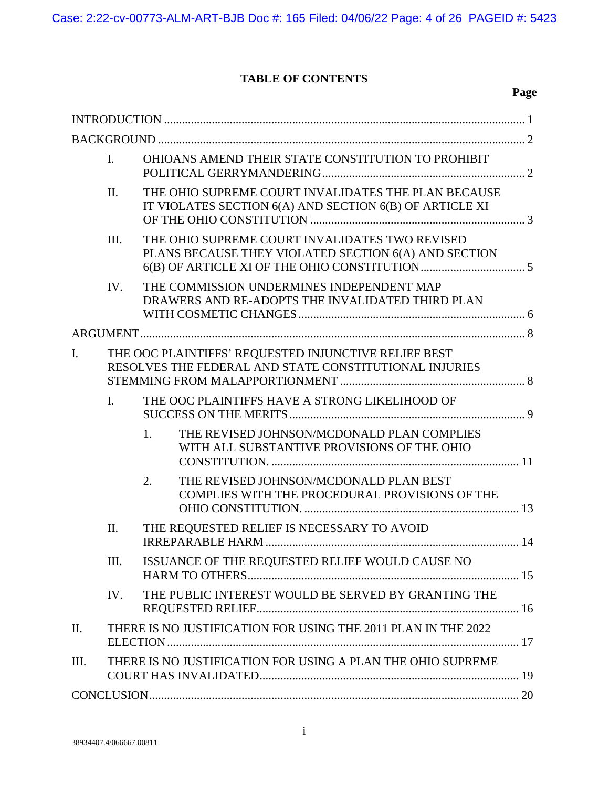## **TABLE OF CONTENTS**

|                | $\mathbf{I}$ .                                                                                                 | OHIOANS AMEND THEIR STATE CONSTITUTION TO PROHIBIT                                                             |                                                                                                        |  |  |
|----------------|----------------------------------------------------------------------------------------------------------------|----------------------------------------------------------------------------------------------------------------|--------------------------------------------------------------------------------------------------------|--|--|
|                | II.                                                                                                            | THE OHIO SUPREME COURT INVALIDATES THE PLAN BECAUSE<br>IT VIOLATES SECTION 6(A) AND SECTION 6(B) OF ARTICLE XI |                                                                                                        |  |  |
|                | III.                                                                                                           |                                                                                                                | THE OHIO SUPREME COURT INVALIDATES TWO REVISED<br>PLANS BECAUSE THEY VIOLATED SECTION 6(A) AND SECTION |  |  |
|                | IV.                                                                                                            |                                                                                                                | THE COMMISSION UNDERMINES INDEPENDENT MAP<br>DRAWERS AND RE-ADOPTS THE INVALIDATED THIRD PLAN          |  |  |
|                |                                                                                                                |                                                                                                                |                                                                                                        |  |  |
| $\mathbf{I}$ . | THE OOC PLAINTIFFS' REQUESTED INJUNCTIVE RELIEF BEST<br>RESOLVES THE FEDERAL AND STATE CONSTITUTIONAL INJURIES |                                                                                                                |                                                                                                        |  |  |
|                | $\mathbf{I}$ .<br>THE OOC PLAINTIFFS HAVE A STRONG LIKELIHOOD OF                                               |                                                                                                                |                                                                                                        |  |  |
|                |                                                                                                                | 1.                                                                                                             | THE REVISED JOHNSON/MCDONALD PLAN COMPLIES<br>WITH ALL SUBSTANTIVE PROVISIONS OF THE OHIO              |  |  |
|                |                                                                                                                | $\overline{2}$ .                                                                                               | THE REVISED JOHNSON/MCDONALD PLAN BEST<br>COMPLIES WITH THE PROCEDURAL PROVISIONS OF THE               |  |  |
|                | II.                                                                                                            | THE REQUESTED RELIEF IS NECESSARY TO AVOID                                                                     |                                                                                                        |  |  |
| Ш.             |                                                                                                                | ISSUANCE OF THE REQUESTED RELIEF WOULD CAUSE NO                                                                |                                                                                                        |  |  |
|                | IV.                                                                                                            |                                                                                                                | THE PUBLIC INTEREST WOULD BE SERVED BY GRANTING THE                                                    |  |  |
| Π.             |                                                                                                                | THERE IS NO JUSTIFICATION FOR USING THE 2011 PLAN IN THE 2022                                                  |                                                                                                        |  |  |
| Ш.             |                                                                                                                |                                                                                                                | THERE IS NO JUSTIFICATION FOR USING A PLAN THE OHIO SUPREME                                            |  |  |
|                |                                                                                                                |                                                                                                                |                                                                                                        |  |  |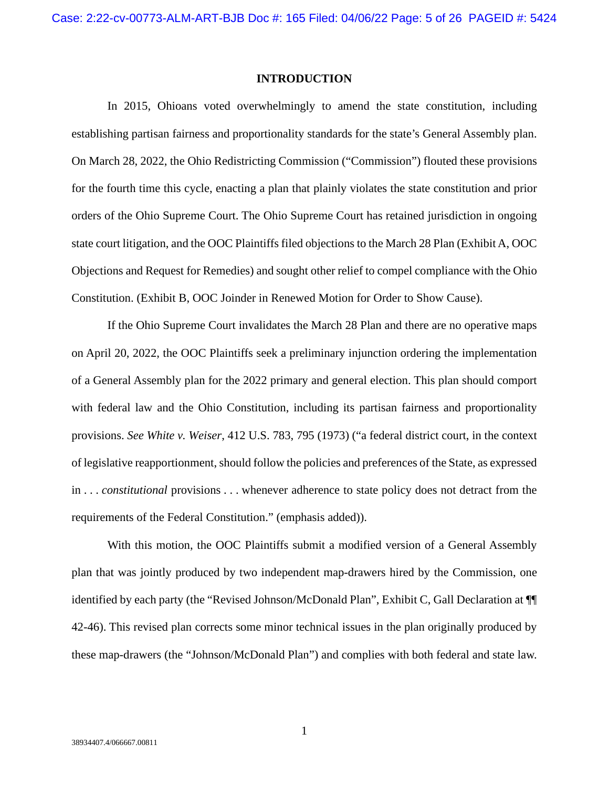#### **INTRODUCTION**

In 2015, Ohioans voted overwhelmingly to amend the state constitution, including establishing partisan fairness and proportionality standards for the state's General Assembly plan. On March 28, 2022, the Ohio Redistricting Commission ("Commission") flouted these provisions for the fourth time this cycle, enacting a plan that plainly violates the state constitution and prior orders of the Ohio Supreme Court. The Ohio Supreme Court has retained jurisdiction in ongoing state court litigation, and the OOC Plaintiffs filed objections to the March 28 Plan (Exhibit A, OOC Objections and Request for Remedies) and sought other relief to compel compliance with the Ohio Constitution. (Exhibit B, OOC Joinder in Renewed Motion for Order to Show Cause).

If the Ohio Supreme Court invalidates the March 28 Plan and there are no operative maps on April 20, 2022, the OOC Plaintiffs seek a preliminary injunction ordering the implementation of a General Assembly plan for the 2022 primary and general election. This plan should comport with federal law and the Ohio Constitution, including its partisan fairness and proportionality provisions. *See White v. Weiser*, 412 U.S. 783, 795 (1973) ("a federal district court, in the context of legislative reapportionment, should follow the policies and preferences of the State, as expressed in . . . *constitutional* provisions . . . whenever adherence to state policy does not detract from the requirements of the Federal Constitution." (emphasis added)).

With this motion, the OOC Plaintiffs submit a modified version of a General Assembly plan that was jointly produced by two independent map-drawers hired by the Commission, one identified by each party (the "Revised Johnson/McDonald Plan", Exhibit C, Gall Declaration at ¶¶ 42-46). This revised plan corrects some minor technical issues in the plan originally produced by these map-drawers (the "Johnson/McDonald Plan") and complies with both federal and state law.

1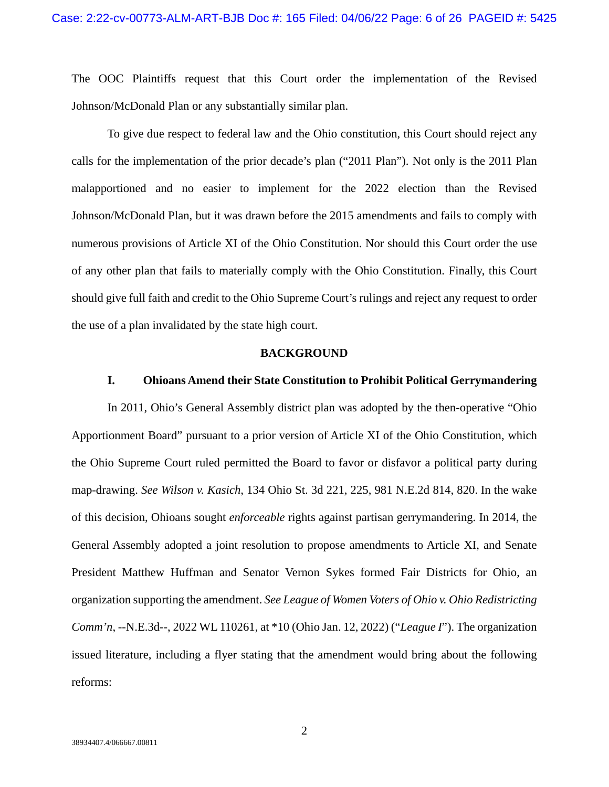The OOC Plaintiffs request that this Court order the implementation of the Revised Johnson/McDonald Plan or any substantially similar plan.

To give due respect to federal law and the Ohio constitution, this Court should reject any calls for the implementation of the prior decade's plan ("2011 Plan"). Not only is the 2011 Plan malapportioned and no easier to implement for the 2022 election than the Revised Johnson/McDonald Plan, but it was drawn before the 2015 amendments and fails to comply with numerous provisions of Article XI of the Ohio Constitution. Nor should this Court order the use of any other plan that fails to materially comply with the Ohio Constitution. Finally, this Court should give full faith and credit to the Ohio Supreme Court's rulings and reject any request to order the use of a plan invalidated by the state high court.

#### **BACKGROUND**

## **I. Ohioans Amend their State Constitution to Prohibit Political Gerrymandering**

In 2011, Ohio's General Assembly district plan was adopted by the then-operative "Ohio Apportionment Board" pursuant to a prior version of Article XI of the Ohio Constitution, which the Ohio Supreme Court ruled permitted the Board to favor or disfavor a political party during map-drawing. *See Wilson v. Kasich*, 134 Ohio St. 3d 221, 225, 981 N.E.2d 814, 820. In the wake of this decision, Ohioans sought *enforceable* rights against partisan gerrymandering. In 2014, the General Assembly adopted a joint resolution to propose amendments to Article XI, and Senate President Matthew Huffman and Senator Vernon Sykes formed Fair Districts for Ohio, an organization supporting the amendment. *See League of Women Voters of Ohio v. Ohio Redistricting Comm'n*, --N.E.3d--, 2022 WL 110261, at \*10 (Ohio Jan. 12, 2022) ("*League I*"). The organization issued literature, including a flyer stating that the amendment would bring about the following reforms: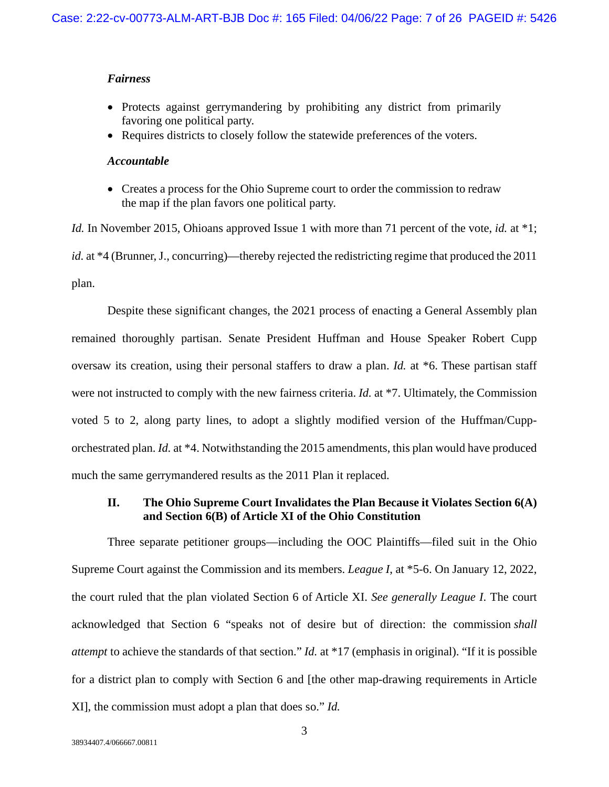#### *Fairness*

- Protects against gerrymandering by prohibiting any district from primarily favoring one political party.
- Requires districts to closely follow the statewide preferences of the voters.

### *Accountable*

 Creates a process for the Ohio Supreme court to order the commission to redraw the map if the plan favors one political party.

*Id.* In November 2015, Ohioans approved Issue 1 with more than 71 percent of the vote, *id.* at \*1; *id.* at \*4 (Brunner, J., concurring)—thereby rejected the redistricting regime that produced the 2011 plan.

Despite these significant changes, the 2021 process of enacting a General Assembly plan remained thoroughly partisan. Senate President Huffman and House Speaker Robert Cupp oversaw its creation, using their personal staffers to draw a plan. *Id.* at \*6. These partisan staff were not instructed to comply with the new fairness criteria. *Id.* at \*7. Ultimately, the Commission voted 5 to 2, along party lines, to adopt a slightly modified version of the Huffman/Cupporchestrated plan. *Id.* at \*4. Notwithstanding the 2015 amendments, this plan would have produced much the same gerrymandered results as the 2011 Plan it replaced.

## **II. The Ohio Supreme Court Invalidates the Plan Because it Violates Section 6(A) and Section 6(B) of Article XI of the Ohio Constitution**

Three separate petitioner groups—including the OOC Plaintiffs—filed suit in the Ohio Supreme Court against the Commission and its members. *League I*, at \*5-6. On January 12, 2022, the court ruled that the plan violated Section 6 of Article XI. *See generally League I*. The court acknowledged that Section 6 "speaks not of desire but of direction: the commission *shall attempt* to achieve the standards of that section." *Id.* at \*17 (emphasis in original). "If it is possible for a district plan to comply with Section 6 and [the other map-drawing requirements in Article XI], the commission must adopt a plan that does so." *Id.*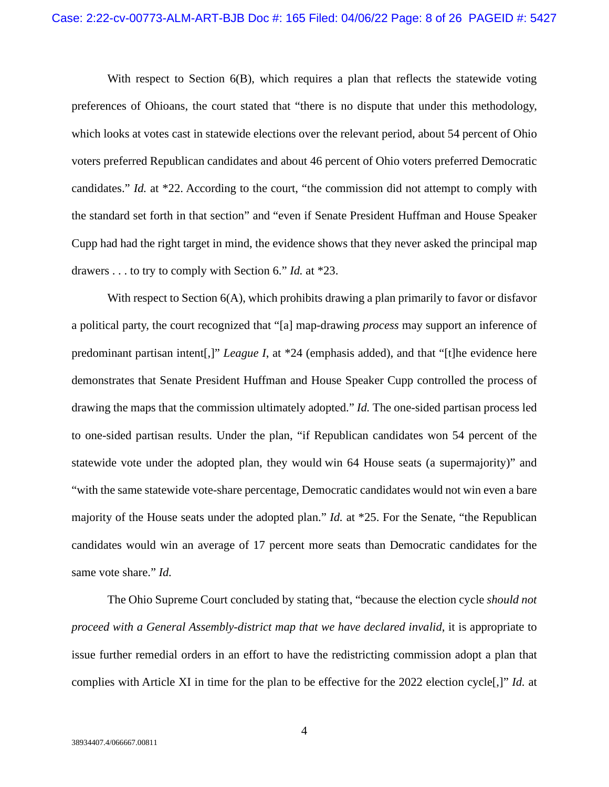With respect to Section 6(B), which requires a plan that reflects the statewide voting preferences of Ohioans, the court stated that "there is no dispute that under this methodology, which looks at votes cast in statewide elections over the relevant period, about 54 percent of Ohio voters preferred Republican candidates and about 46 percent of Ohio voters preferred Democratic candidates." *Id.* at \*22. According to the court, "the commission did not attempt to comply with the standard set forth in that section" and "even if Senate President Huffman and House Speaker Cupp had had the right target in mind, the evidence shows that they never asked the principal map drawers . . . to try to comply with Section 6." *Id.* at \*23.

With respect to Section 6(A), which prohibits drawing a plan primarily to favor or disfavor a political party, the court recognized that "[a] map-drawing *process* may support an inference of predominant partisan intent[,]" *League I*, at \*24 (emphasis added), and that "[t]he evidence here demonstrates that Senate President Huffman and House Speaker Cupp controlled the process of drawing the maps that the commission ultimately adopted." *Id.* The one-sided partisan process led to one-sided partisan results. Under the plan, "if Republican candidates won 54 percent of the statewide vote under the adopted plan, they would win 64 House seats (a supermajority)" and "with the same statewide vote-share percentage, Democratic candidates would not win even a bare majority of the House seats under the adopted plan." *Id.* at \*25. For the Senate, "the Republican candidates would win an average of 17 percent more seats than Democratic candidates for the same vote share." *Id.*

The Ohio Supreme Court concluded by stating that, "because the election cycle *should not proceed with a General Assembly-district map that we have declared invalid*, it is appropriate to issue further remedial orders in an effort to have the redistricting commission adopt a plan that complies with Article XI in time for the plan to be effective for the 2022 election cycle[,]" *Id.* at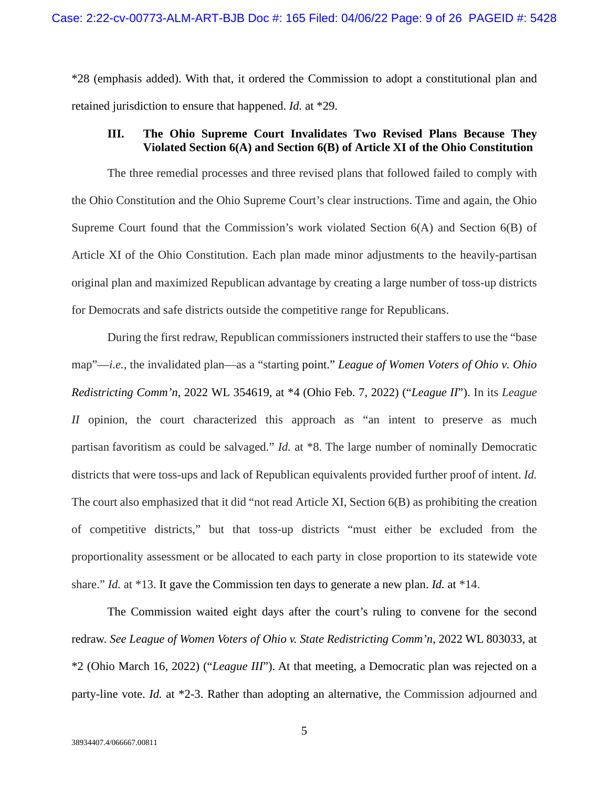\*28 (emphasis added). With that, it ordered the Commission to adopt a constitutional plan and retained jurisdiction to ensure that happened. *Id.* at \*29.

## **III. The Ohio Supreme Court Invalidates Two Revised Plans Because They Violated Section 6(A) and Section 6(B) of Article XI of the Ohio Constitution**

The three remedial processes and three revised plans that followed failed to comply with the Ohio Constitution and the Ohio Supreme Court's clear instructions. Time and again, the Ohio Supreme Court found that the Commission's work violated Section 6(A) and Section 6(B) of Article XI of the Ohio Constitution. Each plan made minor adjustments to the heavily-partisan original plan and maximized Republican advantage by creating a large number of toss-up districts for Democrats and safe districts outside the competitive range for Republicans.

During the first redraw, Republican commissioners instructed their staffers to use the "base map"—*i.e.*, the invalidated plan—as a "starting point." *League of Women Voters of Ohio v. Ohio Redistricting Comm'n*, 2022 WL 354619, at \*4 (Ohio Feb. 7, 2022) ("*League II*"). In its *League II* opinion, the court characterized this approach as "an intent to preserve as much partisan favoritism as could be salvaged." *Id.* at \*8. The large number of nominally Democratic districts that were toss-ups and lack of Republican equivalents provided further proof of intent. *Id.* The court also emphasized that it did "not read Article XI, Section 6(B) as prohibiting the creation of competitive districts," but that toss-up districts "must either be excluded from the proportionality assessment or be allocated to each party in close proportion to its statewide vote share." *Id.* at \*13. It gave the Commission ten days to generate a new plan. *Id.* at \*14.

The Commission waited eight days after the court's ruling to convene for the second redraw. *See League of Women Voters of Ohio v. State Redistricting Comm'n*, 2022 WL 803033, at \*2 (Ohio March 16, 2022) ("*League III*"). At that meeting, a Democratic plan was rejected on a party-line vote. *Id.* at \*2-3. Rather than adopting an alternative, the Commission adjourned and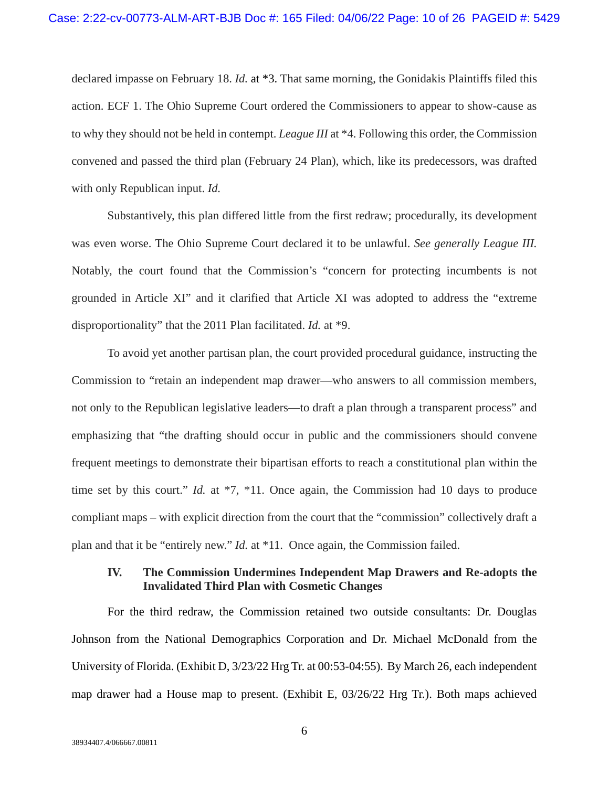declared impasse on February 18. *Id.* at \*3. That same morning, the Gonidakis Plaintiffs filed this action. ECF 1. The Ohio Supreme Court ordered the Commissioners to appear to show-cause as to why they should not be held in contempt. *League III* at \*4. Following this order, the Commission convened and passed the third plan (February 24 Plan), which, like its predecessors, was drafted with only Republican input. *Id.*

Substantively, this plan differed little from the first redraw; procedurally, its development was even worse. The Ohio Supreme Court declared it to be unlawful. *See generally League III.* Notably, the court found that the Commission's "concern for protecting incumbents is not grounded in Article XI" and it clarified that Article XI was adopted to address the "extreme disproportionality" that the 2011 Plan facilitated. *Id.* at \*9.

To avoid yet another partisan plan, the court provided procedural guidance, instructing the Commission to "retain an independent map drawer—who answers to all commission members, not only to the Republican legislative leaders—to draft a plan through a transparent process" and emphasizing that "the drafting should occur in public and the commissioners should convene frequent meetings to demonstrate their bipartisan efforts to reach a constitutional plan within the time set by this court." *Id.* at \*7, \*11. Once again, the Commission had 10 days to produce compliant maps – with explicit direction from the court that the "commission" collectively draft a plan and that it be "entirely new." *Id.* at \*11. Once again, the Commission failed.

## **IV. The Commission Undermines Independent Map Drawers and Re-adopts the Invalidated Third Plan with Cosmetic Changes**

For the third redraw, the Commission retained two outside consultants: Dr. Douglas Johnson from the National Demographics Corporation and Dr. Michael McDonald from the University of Florida. (Exhibit D, 3/23/22 Hrg Tr. at 00:53-04:55). By March 26, each independent map drawer had a House map to present. (Exhibit E, 03/26/22 Hrg Tr.). Both maps achieved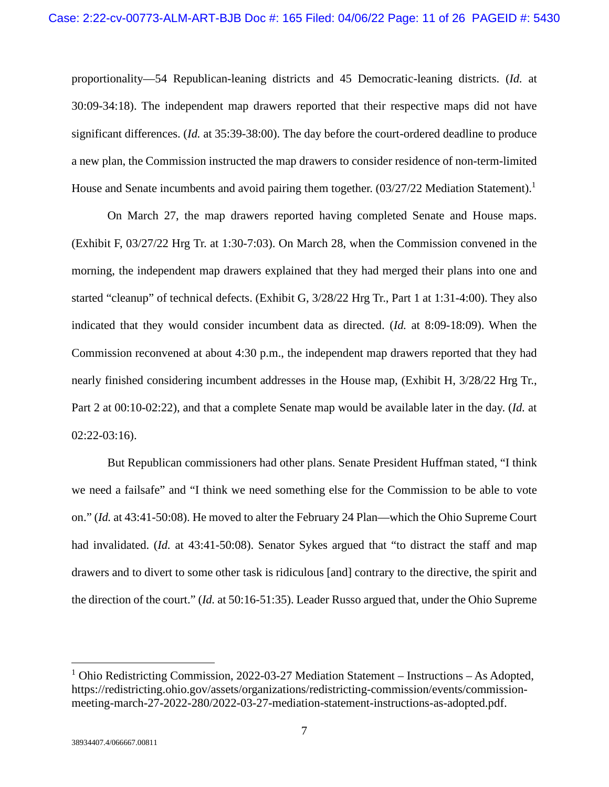proportionality—54 Republican-leaning districts and 45 Democratic-leaning districts. (*Id.* at 30:09-34:18). The independent map drawers reported that their respective maps did not have significant differences. (*Id.* at 35:39-38:00). The day before the court-ordered deadline to produce a new plan, the Commission instructed the map drawers to consider residence of non-term-limited House and Senate incumbents and avoid pairing them together.  $(03/27/22$  Mediation Statement).<sup>1</sup>

On March 27, the map drawers reported having completed Senate and House maps. (Exhibit F, 03/27/22 Hrg Tr. at 1:30-7:03). On March 28, when the Commission convened in the morning, the independent map drawers explained that they had merged their plans into one and started "cleanup" of technical defects. (Exhibit G, 3/28/22 Hrg Tr., Part 1 at 1:31-4:00). They also indicated that they would consider incumbent data as directed. (*Id.* at 8:09-18:09). When the Commission reconvened at about 4:30 p.m., the independent map drawers reported that they had nearly finished considering incumbent addresses in the House map, (Exhibit H, 3/28/22 Hrg Tr., Part 2 at 00:10-02:22), and that a complete Senate map would be available later in the day. (*Id.* at 02:22-03:16).

But Republican commissioners had other plans. Senate President Huffman stated, "I think we need a failsafe" and "I think we need something else for the Commission to be able to vote on." (*Id.* at 43:41-50:08). He moved to alter the February 24 Plan—which the Ohio Supreme Court had invalidated. (*Id.* at 43:41-50:08). Senator Sykes argued that "to distract the staff and map drawers and to divert to some other task is ridiculous [and] contrary to the directive, the spirit and the direction of the court." (*Id.* at 50:16-51:35). Leader Russo argued that, under the Ohio Supreme

<sup>&</sup>lt;sup>1</sup> Ohio Redistricting Commission, 2022-03-27 Mediation Statement – Instructions – As Adopted, https://redistricting.ohio.gov/assets/organizations/redistricting-commission/events/commissionmeeting-march-27-2022-280/2022-03-27-mediation-statement-instructions-as-adopted.pdf.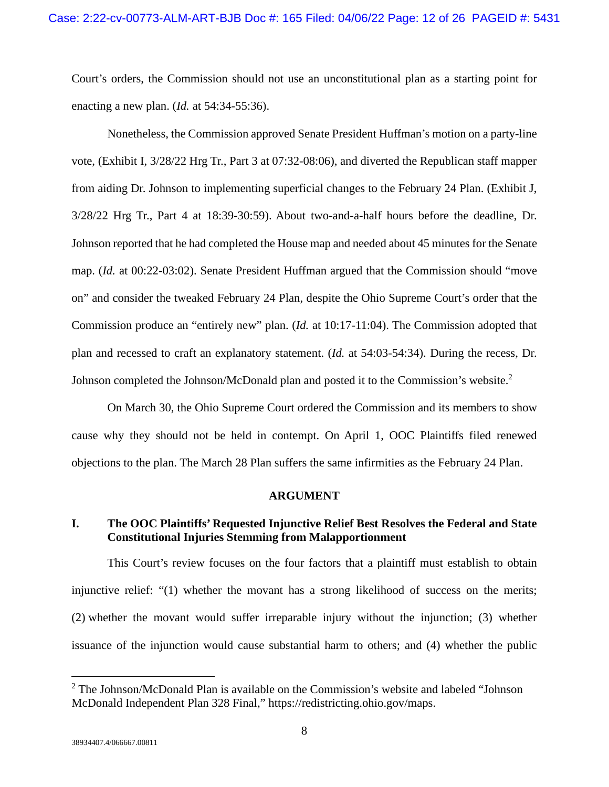Court's orders, the Commission should not use an unconstitutional plan as a starting point for enacting a new plan. (*Id.* at 54:34-55:36).

Nonetheless, the Commission approved Senate President Huffman's motion on a party-line vote, (Exhibit I, 3/28/22 Hrg Tr., Part 3 at 07:32-08:06), and diverted the Republican staff mapper from aiding Dr. Johnson to implementing superficial changes to the February 24 Plan. (Exhibit J, 3/28/22 Hrg Tr., Part 4 at 18:39-30:59). About two-and-a-half hours before the deadline, Dr. Johnson reported that he had completed the House map and needed about 45 minutes for the Senate map. (*Id.* at 00:22-03:02). Senate President Huffman argued that the Commission should "move on" and consider the tweaked February 24 Plan, despite the Ohio Supreme Court's order that the Commission produce an "entirely new" plan. (*Id.* at 10:17-11:04). The Commission adopted that plan and recessed to craft an explanatory statement. (*Id.* at 54:03-54:34). During the recess, Dr. Johnson completed the Johnson/McDonald plan and posted it to the Commission's website.<sup>2</sup>

On March 30, the Ohio Supreme Court ordered the Commission and its members to show cause why they should not be held in contempt. On April 1, OOC Plaintiffs filed renewed objections to the plan. The March 28 Plan suffers the same infirmities as the February 24 Plan.

#### **ARGUMENT**

## **I. The OOC Plaintiffs' Requested Injunctive Relief Best Resolves the Federal and State Constitutional Injuries Stemming from Malapportionment**

This Court's review focuses on the four factors that a plaintiff must establish to obtain injunctive relief: "(1) whether the movant has a strong likelihood of success on the merits; (2) whether the movant would suffer irreparable injury without the injunction; (3) whether issuance of the injunction would cause substantial harm to others; and (4) whether the public

38934407.4/066667.00811

<sup>&</sup>lt;sup>2</sup> The Johnson/McDonald Plan is available on the Commission's website and labeled "Johnson" McDonald Independent Plan 328 Final," https://redistricting.ohio.gov/maps.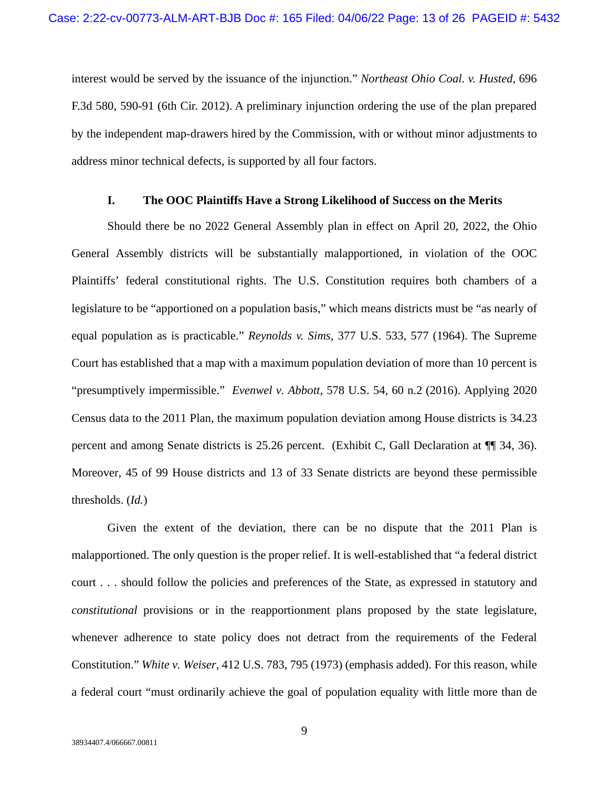interest would be served by the issuance of the injunction." *Northeast Ohio Coal. v. Husted*, 696 F.3d 580, 590-91 (6th Cir. 2012). A preliminary injunction ordering the use of the plan prepared by the independent map-drawers hired by the Commission, with or without minor adjustments to address minor technical defects, is supported by all four factors.

#### **I. The OOC Plaintiffs Have a Strong Likelihood of Success on the Merits**

Should there be no 2022 General Assembly plan in effect on April 20, 2022, the Ohio General Assembly districts will be substantially malapportioned, in violation of the OOC Plaintiffs' federal constitutional rights. The U.S. Constitution requires both chambers of a legislature to be "apportioned on a population basis," which means districts must be "as nearly of equal population as is practicable." *Reynolds v. Sims*, 377 U.S. 533, 577 (1964). The Supreme Court has established that a map with a maximum population deviation of more than 10 percent is "presumptively impermissible." *Evenwel v. Abbott*, 578 U.S. 54, 60 n.2 (2016). Applying 2020 Census data to the 2011 Plan, the maximum population deviation among House districts is 34.23 percent and among Senate districts is 25.26 percent. (Exhibit C, Gall Declaration at ¶¶ 34, 36). Moreover, 45 of 99 House districts and 13 of 33 Senate districts are beyond these permissible thresholds. (*Id.*)

Given the extent of the deviation, there can be no dispute that the 2011 Plan is malapportioned. The only question is the proper relief. It is well-established that "a federal district court . . . should follow the policies and preferences of the State, as expressed in statutory and *constitutional* provisions or in the reapportionment plans proposed by the state legislature, whenever adherence to state policy does not detract from the requirements of the Federal Constitution." *White v. Weiser*, 412 U.S. 783, 795 (1973) (emphasis added). For this reason, while a federal court "must ordinarily achieve the goal of population equality with little more than de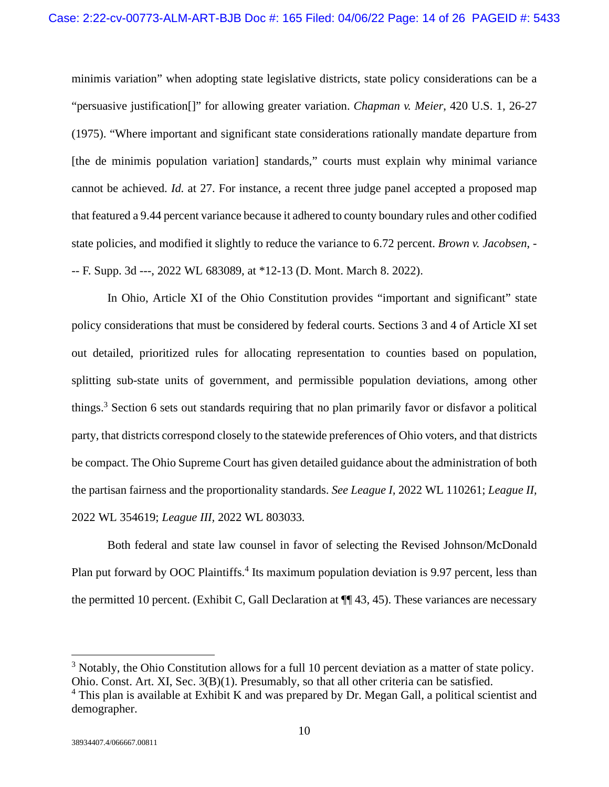minimis variation" when adopting state legislative districts, state policy considerations can be a "persuasive justification[]" for allowing greater variation. *Chapman v. Meier*, 420 U.S. 1, 26-27 (1975). "Where important and significant state considerations rationally mandate departure from [the de minimis population variation] standards," courts must explain why minimal variance cannot be achieved. *Id.* at 27. For instance, a recent three judge panel accepted a proposed map that featured a 9.44 percent variance because it adhered to county boundary rules and other codified state policies, and modified it slightly to reduce the variance to 6.72 percent. *Brown v. Jacobsen*, - -- F. Supp. 3d ---, 2022 WL 683089, at \*12-13 (D. Mont. March 8. 2022).

In Ohio, Article XI of the Ohio Constitution provides "important and significant" state policy considerations that must be considered by federal courts. Sections 3 and 4 of Article XI set out detailed, prioritized rules for allocating representation to counties based on population, splitting sub-state units of government, and permissible population deviations, among other things.<sup>3</sup> Section 6 sets out standards requiring that no plan primarily favor or disfavor a political party, that districts correspond closely to the statewide preferences of Ohio voters, and that districts be compact. The Ohio Supreme Court has given detailed guidance about the administration of both the partisan fairness and the proportionality standards. *See League I,* 2022 WL 110261; *League II,*  2022 WL 354619; *League III,* 2022 WL 803033*.* 

Both federal and state law counsel in favor of selecting the Revised Johnson/McDonald Plan put forward by OOC Plaintiffs.<sup>4</sup> Its maximum population deviation is 9.97 percent, less than the permitted 10 percent. (Exhibit C, Gall Declaration at ¶¶ 43, 45). These variances are necessary

 $3$  Notably, the Ohio Constitution allows for a full 10 percent deviation as a matter of state policy. Ohio. Const. Art. XI, Sec. 3(B)(1). Presumably, so that all other criteria can be satisfied.

<sup>&</sup>lt;sup>4</sup> This plan is available at Exhibit K and was prepared by Dr. Megan Gall, a political scientist and demographer.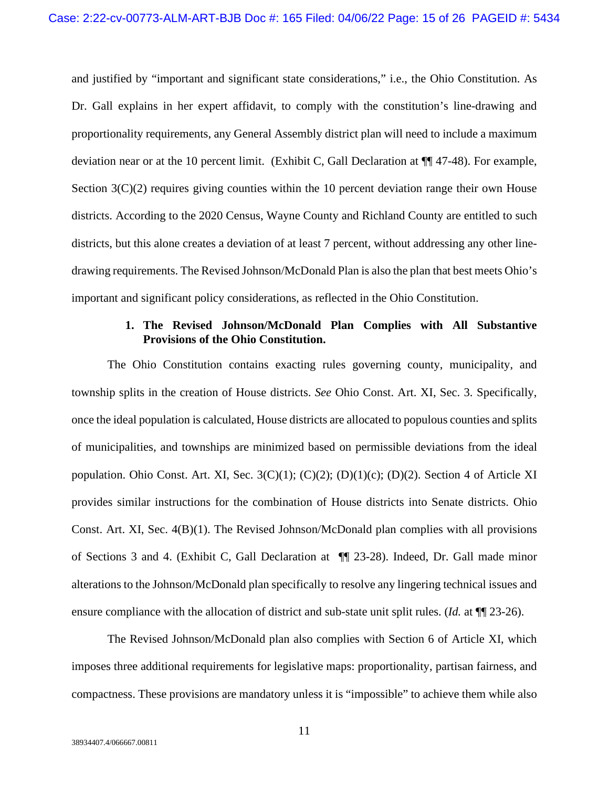and justified by "important and significant state considerations," i.e., the Ohio Constitution. As Dr. Gall explains in her expert affidavit, to comply with the constitution's line-drawing and proportionality requirements, any General Assembly district plan will need to include a maximum deviation near or at the 10 percent limit. (Exhibit C, Gall Declaration at ¶¶ 47-48). For example, Section  $3(C)(2)$  requires giving counties within the 10 percent deviation range their own House districts. According to the 2020 Census, Wayne County and Richland County are entitled to such districts, but this alone creates a deviation of at least 7 percent, without addressing any other linedrawing requirements. The Revised Johnson/McDonald Plan is also the plan that best meets Ohio's important and significant policy considerations, as reflected in the Ohio Constitution.

## **1. The Revised Johnson/McDonald Plan Complies with All Substantive Provisions of the Ohio Constitution.**

The Ohio Constitution contains exacting rules governing county, municipality, and township splits in the creation of House districts. *See* Ohio Const. Art. XI, Sec. 3. Specifically, once the ideal population is calculated, House districts are allocated to populous counties and splits of municipalities, and townships are minimized based on permissible deviations from the ideal population. Ohio Const. Art. XI, Sec. 3(C)(1); (C)(2); (D)(1)(c); (D)(2). Section 4 of Article XI provides similar instructions for the combination of House districts into Senate districts. Ohio Const. Art. XI, Sec. 4(B)(1). The Revised Johnson/McDonald plan complies with all provisions of Sections 3 and 4. (Exhibit C, Gall Declaration at ¶¶ 23-28). Indeed, Dr. Gall made minor alterations to the Johnson/McDonald plan specifically to resolve any lingering technical issues and ensure compliance with the allocation of district and sub-state unit split rules. (*Id.* at  $\P$  23-26).

The Revised Johnson/McDonald plan also complies with Section 6 of Article XI, which imposes three additional requirements for legislative maps: proportionality, partisan fairness, and compactness. These provisions are mandatory unless it is "impossible" to achieve them while also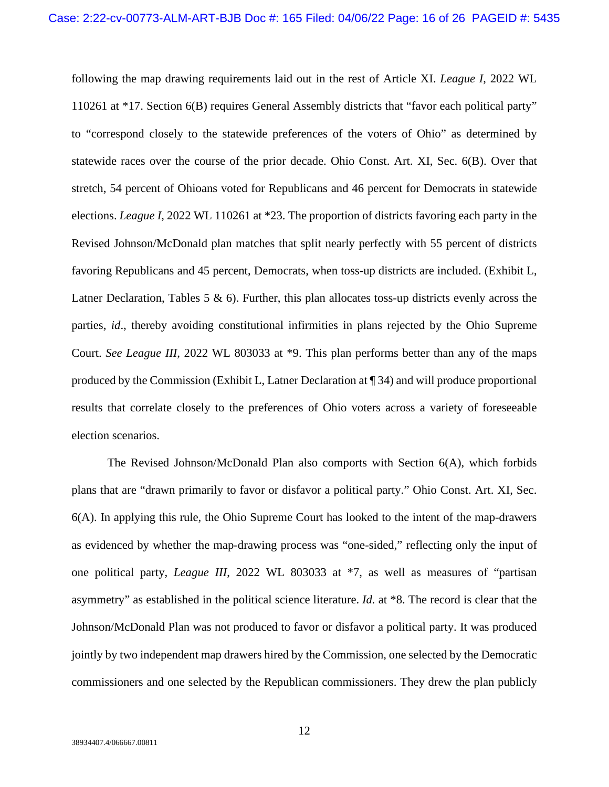following the map drawing requirements laid out in the rest of Article XI. *League I*, 2022 WL 110261 at \*17. Section 6(B) requires General Assembly districts that "favor each political party" to "correspond closely to the statewide preferences of the voters of Ohio" as determined by statewide races over the course of the prior decade. Ohio Const. Art. XI, Sec. 6(B). Over that stretch, 54 percent of Ohioans voted for Republicans and 46 percent for Democrats in statewide elections. *League I*, 2022 WL 110261 at \*23. The proportion of districts favoring each party in the Revised Johnson/McDonald plan matches that split nearly perfectly with 55 percent of districts favoring Republicans and 45 percent, Democrats, when toss-up districts are included. (Exhibit L, Latner Declaration, Tables 5  $\&$  6). Further, this plan allocates toss-up districts evenly across the parties, *id*., thereby avoiding constitutional infirmities in plans rejected by the Ohio Supreme Court. *See League III*, 2022 WL 803033 at \*9. This plan performs better than any of the maps produced by the Commission (Exhibit L, Latner Declaration at ¶ 34) and will produce proportional results that correlate closely to the preferences of Ohio voters across a variety of foreseeable election scenarios.

The Revised Johnson/McDonald Plan also comports with Section 6(A), which forbids plans that are "drawn primarily to favor or disfavor a political party." Ohio Const. Art. XI, Sec. 6(A). In applying this rule, the Ohio Supreme Court has looked to the intent of the map-drawers as evidenced by whether the map-drawing process was "one-sided," reflecting only the input of one political party, *League III*, 2022 WL 803033 at \*7, as well as measures of "partisan asymmetry" as established in the political science literature. *Id.* at \*8. The record is clear that the Johnson/McDonald Plan was not produced to favor or disfavor a political party. It was produced jointly by two independent map drawers hired by the Commission, one selected by the Democratic commissioners and one selected by the Republican commissioners. They drew the plan publicly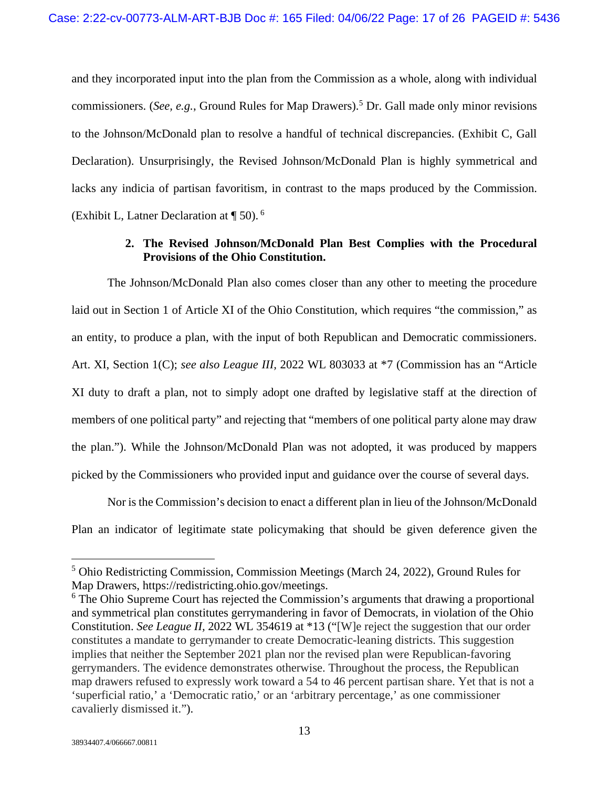and they incorporated input into the plan from the Commission as a whole, along with individual commissioners. (*See, e.g.*, Ground Rules for Map Drawers).<sup>5</sup> Dr. Gall made only minor revisions to the Johnson/McDonald plan to resolve a handful of technical discrepancies. (Exhibit C, Gall Declaration). Unsurprisingly, the Revised Johnson/McDonald Plan is highly symmetrical and lacks any indicia of partisan favoritism, in contrast to the maps produced by the Commission. (Exhibit L, Latner Declaration at  $\P$  50).<sup>6</sup>

## **2. The Revised Johnson/McDonald Plan Best Complies with the Procedural Provisions of the Ohio Constitution.**

The Johnson/McDonald Plan also comes closer than any other to meeting the procedure laid out in Section 1 of Article XI of the Ohio Constitution, which requires "the commission," as an entity, to produce a plan, with the input of both Republican and Democratic commissioners. Art. XI, Section 1(C); *see also League III,* 2022 WL 803033 at \*7 (Commission has an "Article XI duty to draft a plan, not to simply adopt one drafted by legislative staff at the direction of members of one political party" and rejecting that "members of one political party alone may draw the plan."). While the Johnson/McDonald Plan was not adopted, it was produced by mappers picked by the Commissioners who provided input and guidance over the course of several days.

Nor is the Commission's decision to enact a different plan in lieu of the Johnson/McDonald Plan an indicator of legitimate state policymaking that should be given deference given the

<sup>5</sup> Ohio Redistricting Commission, Commission Meetings (March 24, 2022), Ground Rules for Map Drawers, https://redistricting.ohio.gov/meetings.

<sup>&</sup>lt;sup>6</sup> The Ohio Supreme Court has rejected the Commission's arguments that drawing a proportional and symmetrical plan constitutes gerrymandering in favor of Democrats, in violation of the Ohio Constitution. *See League II,* 2022 WL 354619 at \*13 ("[W]e reject the suggestion that our order constitutes a mandate to gerrymander to create Democratic-leaning districts. This suggestion implies that neither the September 2021 plan nor the revised plan were Republican-favoring gerrymanders. The evidence demonstrates otherwise. Throughout the process, the Republican map drawers refused to expressly work toward a 54 to 46 percent partisan share. Yet that is not a 'superficial ratio,' a 'Democratic ratio,' or an 'arbitrary percentage,' as one commissioner cavalierly dismissed it.").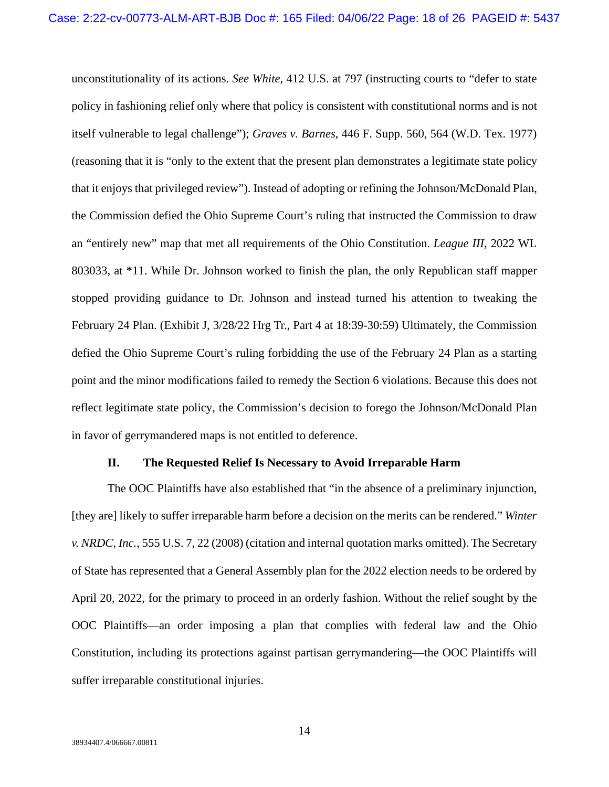unconstitutionality of its actions. *See White*, 412 U.S. at 797 (instructing courts to "defer to state policy in fashioning relief only where that policy is consistent with constitutional norms and is not itself vulnerable to legal challenge"); *Graves v. Barnes*, 446 F. Supp. 560, 564 (W.D. Tex. 1977) (reasoning that it is "only to the extent that the present plan demonstrates a legitimate state policy that it enjoys that privileged review"). Instead of adopting or refining the Johnson/McDonald Plan, the Commission defied the Ohio Supreme Court's ruling that instructed the Commission to draw an "entirely new" map that met all requirements of the Ohio Constitution. *League III*, 2022 WL 803033, at \*11. While Dr. Johnson worked to finish the plan, the only Republican staff mapper stopped providing guidance to Dr. Johnson and instead turned his attention to tweaking the February 24 Plan. (Exhibit J, 3/28/22 Hrg Tr., Part 4 at 18:39-30:59) Ultimately, the Commission defied the Ohio Supreme Court's ruling forbidding the use of the February 24 Plan as a starting point and the minor modifications failed to remedy the Section 6 violations. Because this does not reflect legitimate state policy, the Commission's decision to forego the Johnson/McDonald Plan in favor of gerrymandered maps is not entitled to deference.

#### **II. The Requested Relief Is Necessary to Avoid Irreparable Harm**

The OOC Plaintiffs have also established that "in the absence of a preliminary injunction, [they are] likely to suffer irreparable harm before a decision on the merits can be rendered." *Winter v. NRDC, Inc.*, 555 U.S. 7, 22 (2008) (citation and internal quotation marks omitted). The Secretary of State has represented that a General Assembly plan for the 2022 election needs to be ordered by April 20, 2022, for the primary to proceed in an orderly fashion. Without the relief sought by the OOC Plaintiffs—an order imposing a plan that complies with federal law and the Ohio Constitution, including its protections against partisan gerrymandering—the OOC Plaintiffs will suffer irreparable constitutional injuries.

14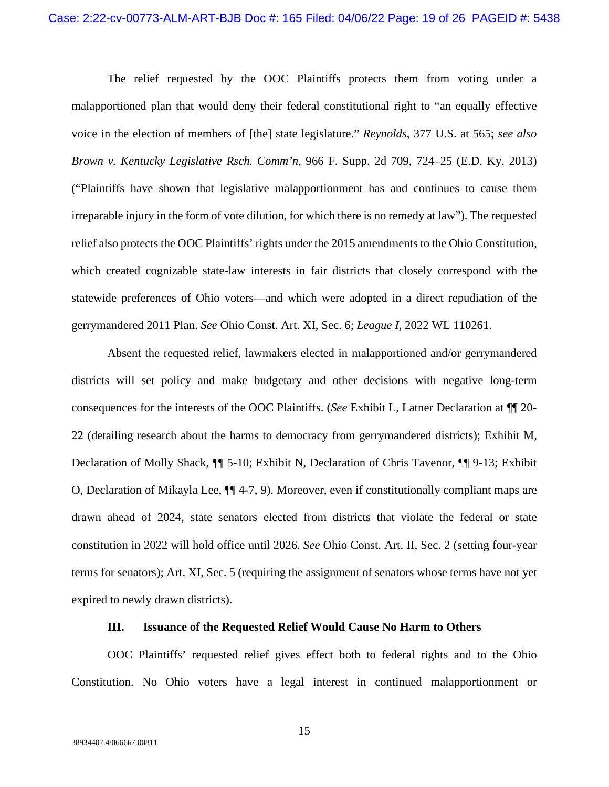The relief requested by the OOC Plaintiffs protects them from voting under a malapportioned plan that would deny their federal constitutional right to "an equally effective voice in the election of members of [the] state legislature." *Reynolds*, 377 U.S. at 565; *see also Brown v. Kentucky Legislative Rsch. Comm'n*, 966 F. Supp. 2d 709, 724–25 (E.D. Ky. 2013) ("Plaintiffs have shown that legislative malapportionment has and continues to cause them irreparable injury in the form of vote dilution, for which there is no remedy at law"). The requested relief also protects the OOC Plaintiffs' rights under the 2015 amendments to the Ohio Constitution, which created cognizable state-law interests in fair districts that closely correspond with the statewide preferences of Ohio voters—and which were adopted in a direct repudiation of the gerrymandered 2011 Plan. *See* Ohio Const. Art. XI, Sec. 6; *League I*, 2022 WL 110261.

Absent the requested relief, lawmakers elected in malapportioned and/or gerrymandered districts will set policy and make budgetary and other decisions with negative long-term consequences for the interests of the OOC Plaintiffs. (*See* Exhibit L, Latner Declaration at ¶¶ 20- 22 (detailing research about the harms to democracy from gerrymandered districts); Exhibit M, Declaration of Molly Shack, ¶¶ 5-10; Exhibit N, Declaration of Chris Tavenor, ¶¶ 9-13; Exhibit O, Declaration of Mikayla Lee, ¶¶ 4-7, 9). Moreover, even if constitutionally compliant maps are drawn ahead of 2024, state senators elected from districts that violate the federal or state constitution in 2022 will hold office until 2026. *See* Ohio Const. Art. II, Sec. 2 (setting four-year terms for senators); Art. XI, Sec. 5 (requiring the assignment of senators whose terms have not yet expired to newly drawn districts).

#### **III. Issuance of the Requested Relief Would Cause No Harm to Others**

OOC Plaintiffs' requested relief gives effect both to federal rights and to the Ohio Constitution. No Ohio voters have a legal interest in continued malapportionment or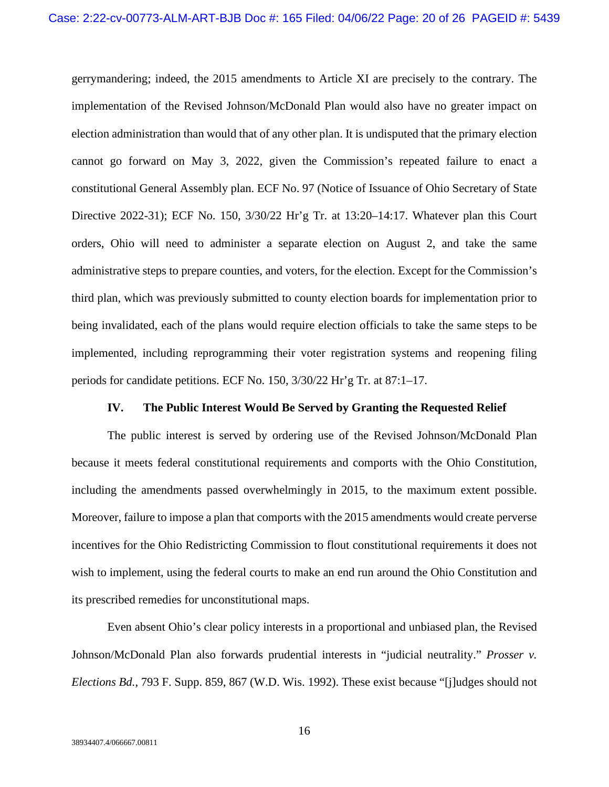gerrymandering; indeed, the 2015 amendments to Article XI are precisely to the contrary. The implementation of the Revised Johnson/McDonald Plan would also have no greater impact on election administration than would that of any other plan. It is undisputed that the primary election cannot go forward on May 3, 2022, given the Commission's repeated failure to enact a constitutional General Assembly plan. ECF No. 97 (Notice of Issuance of Ohio Secretary of State Directive 2022-31); ECF No. 150, 3/30/22 Hr'g Tr. at 13:20–14:17. Whatever plan this Court orders, Ohio will need to administer a separate election on August 2, and take the same administrative steps to prepare counties, and voters, for the election. Except for the Commission's third plan, which was previously submitted to county election boards for implementation prior to being invalidated, each of the plans would require election officials to take the same steps to be implemented, including reprogramming their voter registration systems and reopening filing periods for candidate petitions. ECF No. 150, 3/30/22 Hr'g Tr. at 87:1–17.

#### **IV. The Public Interest Would Be Served by Granting the Requested Relief**

The public interest is served by ordering use of the Revised Johnson/McDonald Plan because it meets federal constitutional requirements and comports with the Ohio Constitution, including the amendments passed overwhelmingly in 2015, to the maximum extent possible. Moreover, failure to impose a plan that comports with the 2015 amendments would create perverse incentives for the Ohio Redistricting Commission to flout constitutional requirements it does not wish to implement, using the federal courts to make an end run around the Ohio Constitution and its prescribed remedies for unconstitutional maps.

Even absent Ohio's clear policy interests in a proportional and unbiased plan, the Revised Johnson/McDonald Plan also forwards prudential interests in "judicial neutrality." *Prosser v. Elections Bd.*, 793 F. Supp. 859, 867 (W.D. Wis. 1992). These exist because "[j]udges should not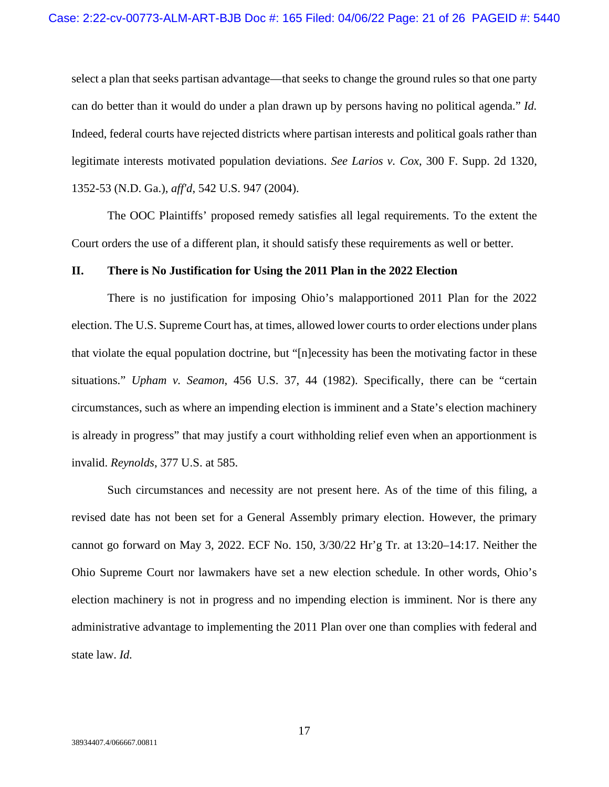select a plan that seeks partisan advantage—that seeks to change the ground rules so that one party can do better than it would do under a plan drawn up by persons having no political agenda." *Id.* Indeed, federal courts have rejected districts where partisan interests and political goals rather than legitimate interests motivated population deviations. *See Larios v. Cox*, 300 F. Supp. 2d 1320, 1352-53 (N.D. Ga.), *aff'd*, 542 U.S. 947 (2004).

The OOC Plaintiffs' proposed remedy satisfies all legal requirements. To the extent the Court orders the use of a different plan, it should satisfy these requirements as well or better.

## **II. There is No Justification for Using the 2011 Plan in the 2022 Election**

There is no justification for imposing Ohio's malapportioned 2011 Plan for the 2022 election. The U.S. Supreme Court has, at times, allowed lower courts to order elections under plans that violate the equal population doctrine, but "[n]ecessity has been the motivating factor in these situations." *Upham v. Seamon*, 456 U.S. 37, 44 (1982). Specifically, there can be "certain circumstances, such as where an impending election is imminent and a State's election machinery is already in progress" that may justify a court withholding relief even when an apportionment is invalid. *Reynolds*, 377 U.S. at 585.

Such circumstances and necessity are not present here. As of the time of this filing, a revised date has not been set for a General Assembly primary election. However, the primary cannot go forward on May 3, 2022. ECF No. 150, 3/30/22 Hr'g Tr. at 13:20–14:17. Neither the Ohio Supreme Court nor lawmakers have set a new election schedule. In other words, Ohio's election machinery is not in progress and no impending election is imminent. Nor is there any administrative advantage to implementing the 2011 Plan over one than complies with federal and state law. *Id.*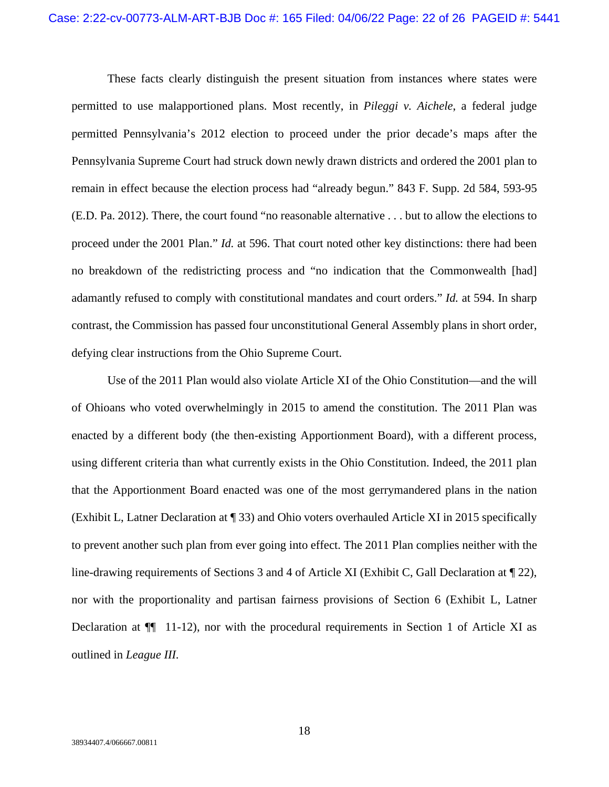These facts clearly distinguish the present situation from instances where states were permitted to use malapportioned plans. Most recently, in *Pileggi v. Aichele*, a federal judge permitted Pennsylvania's 2012 election to proceed under the prior decade's maps after the Pennsylvania Supreme Court had struck down newly drawn districts and ordered the 2001 plan to remain in effect because the election process had "already begun." 843 F. Supp. 2d 584, 593-95 (E.D. Pa. 2012). There, the court found "no reasonable alternative . . . but to allow the elections to proceed under the 2001 Plan." *Id.* at 596. That court noted other key distinctions: there had been no breakdown of the redistricting process and "no indication that the Commonwealth [had] adamantly refused to comply with constitutional mandates and court orders." *Id.* at 594. In sharp contrast, the Commission has passed four unconstitutional General Assembly plans in short order, defying clear instructions from the Ohio Supreme Court.

Use of the 2011 Plan would also violate Article XI of the Ohio Constitution—and the will of Ohioans who voted overwhelmingly in 2015 to amend the constitution. The 2011 Plan was enacted by a different body (the then-existing Apportionment Board), with a different process, using different criteria than what currently exists in the Ohio Constitution. Indeed, the 2011 plan that the Apportionment Board enacted was one of the most gerrymandered plans in the nation (Exhibit L, Latner Declaration at ¶ 33) and Ohio voters overhauled Article XI in 2015 specifically to prevent another such plan from ever going into effect. The 2011 Plan complies neither with the line-drawing requirements of Sections 3 and 4 of Article XI (Exhibit C, Gall Declaration at ¶ 22), nor with the proportionality and partisan fairness provisions of Section 6 (Exhibit L, Latner Declaration at  $\P$  11-12), nor with the procedural requirements in Section 1 of Article XI as outlined in *League III*.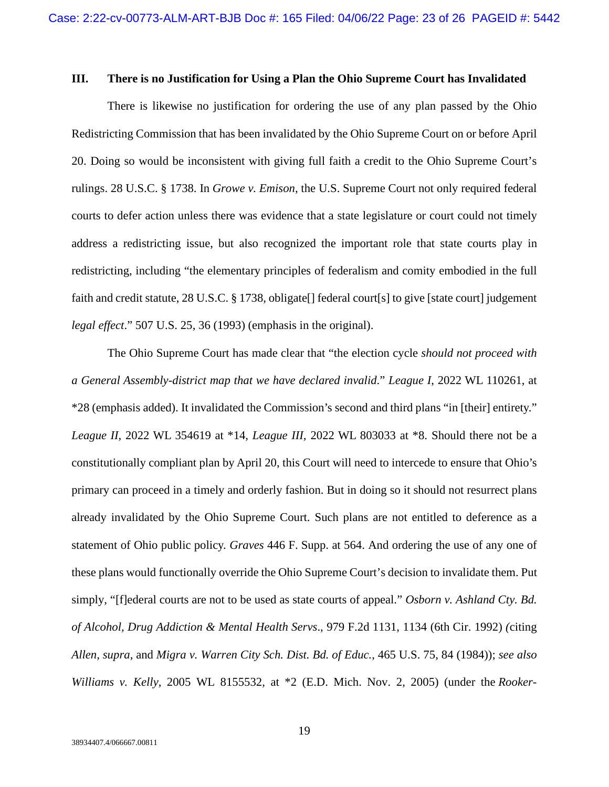#### **III. There is no Justification for Using a Plan the Ohio Supreme Court has Invalidated**

There is likewise no justification for ordering the use of any plan passed by the Ohio Redistricting Commission that has been invalidated by the Ohio Supreme Court on or before April 20. Doing so would be inconsistent with giving full faith a credit to the Ohio Supreme Court's rulings. 28 U.S.C. § 1738. In *Growe v. Emison*, the U.S. Supreme Court not only required federal courts to defer action unless there was evidence that a state legislature or court could not timely address a redistricting issue, but also recognized the important role that state courts play in redistricting, including "the elementary principles of federalism and comity embodied in the full faith and credit statute, 28 U.S.C. § 1738, obligate<sup>[]</sup> federal court<sup>[s]</sup> to give [state court] judgement *legal effect*." 507 U.S. 25, 36 (1993) (emphasis in the original).

The Ohio Supreme Court has made clear that "the election cycle *should not proceed with a General Assembly-district map that we have declared invalid*." *League I*, 2022 WL 110261, at \*28 (emphasis added). It invalidated the Commission's second and third plans "in [their] entirety." *League II*, 2022 WL 354619 at \*14, *League III,* 2022 WL 803033 at \*8. Should there not be a constitutionally compliant plan by April 20, this Court will need to intercede to ensure that Ohio's primary can proceed in a timely and orderly fashion. But in doing so it should not resurrect plans already invalidated by the Ohio Supreme Court. Such plans are not entitled to deference as a statement of Ohio public policy. *Graves* 446 F. Supp. at 564. And ordering the use of any one of these plans would functionally override the Ohio Supreme Court's decision to invalidate them. Put simply, "[f]ederal courts are not to be used as state courts of appeal." *Osborn v. Ashland Cty. Bd. of Alcohol, Drug Addiction & Mental Health Servs*., 979 F.2d 1131, 1134 (6th Cir. 1992) *(*citing *Allen, supra,* and *Migra v. Warren City Sch. Dist. Bd. of Educ.*, 465 U.S. 75, 84 (1984)); *see also Williams v. Kelly*, 2005 WL 8155532, at \*2 (E.D. Mich. Nov. 2, 2005) (under the *Rooker-*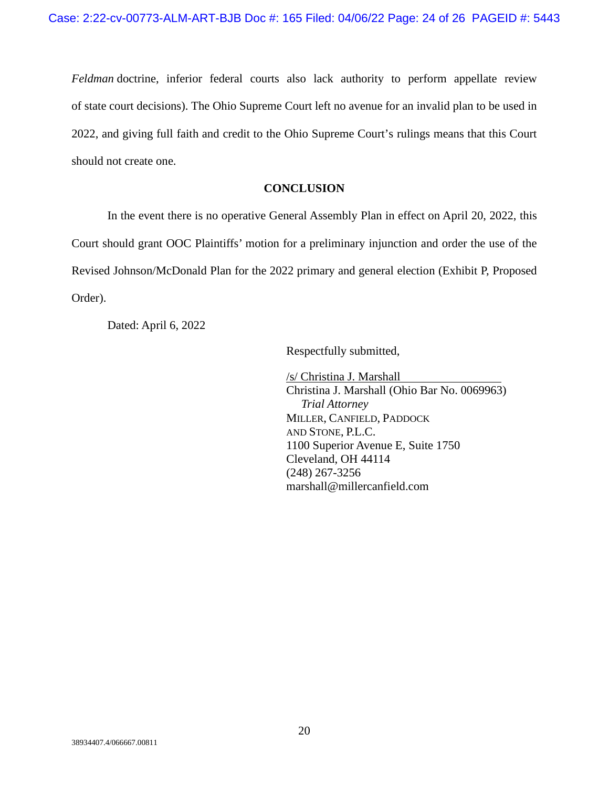*Feldman* doctrine, inferior federal courts also lack authority to perform appellate review of state court decisions). The Ohio Supreme Court left no avenue for an invalid plan to be used in 2022, and giving full faith and credit to the Ohio Supreme Court's rulings means that this Court should not create one.

## **CONCLUSION**

In the event there is no operative General Assembly Plan in effect on April 20, 2022, this Court should grant OOC Plaintiffs' motion for a preliminary injunction and order the use of the Revised Johnson/McDonald Plan for the 2022 primary and general election (Exhibit P, Proposed Order).

Dated: April 6, 2022

Respectfully submitted,

/s/ Christina J. Marshall Christina J. Marshall (Ohio Bar No. 0069963)  *Trial Attorney*  MILLER, CANFIELD, PADDOCK AND STONE, P.L.C. 1100 Superior Avenue E, Suite 1750 Cleveland, OH 44114 (248) 267-3256 marshall@millercanfield.com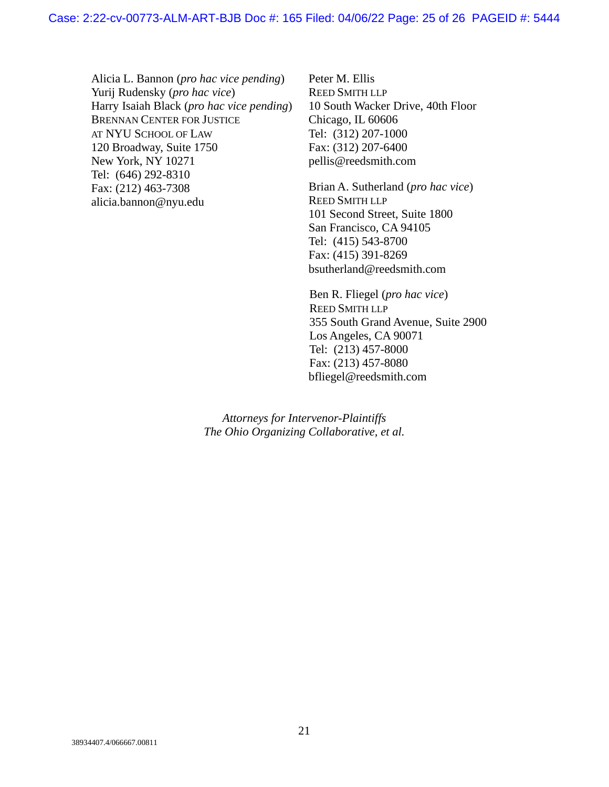Alicia L. Bannon (*pro hac vice pending*) Yurij Rudensky (*pro hac vice*) Harry Isaiah Black (*pro hac vice pending*) BRENNAN CENTER FOR JUSTICE AT NYU SCHOOL OF LAW 120 Broadway, Suite 1750 New York, NY 10271 Tel: (646) 292-8310 Fax: (212) 463-7308 alicia.bannon@nyu.edu

Peter M. Ellis REED SMITH LLP 10 South Wacker Drive, 40th Floor Chicago, IL 60606 Tel: (312) 207-1000 Fax: (312) 207-6400 pellis@reedsmith.com

Brian A. Sutherland (*pro hac vice*) REED SMITH LLP 101 Second Street, Suite 1800 San Francisco, CA 94105 Tel: (415) 543-8700 Fax: (415) 391-8269 bsutherland@reedsmith.com

Ben R. Fliegel (*pro hac vice*) REED SMITH LLP 355 South Grand Avenue, Suite 2900 Los Angeles, CA 90071 Tel: (213) 457-8000 Fax: (213) 457-8080 bfliegel@reedsmith.com

*Attorneys for Intervenor-Plaintiffs The Ohio Organizing Collaborative, et al.*